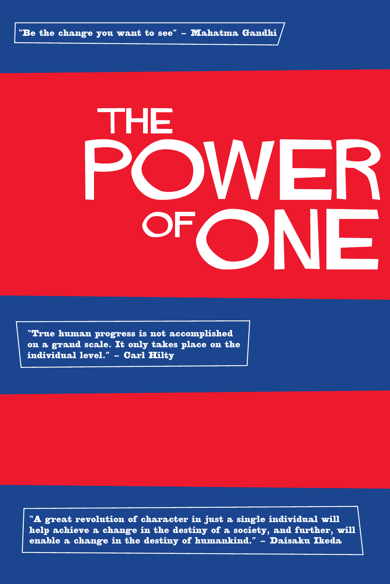"Be the change you want to see" – Mahatma Gandhi

# гне / EF F

"True human progress is not accomplished on a grand scale. It only takes place on the individual level." – Carl Hilty

"A great revolution of character in just a single individual will help achieve a change in the destiny of a society, and further, will enable a change in the destiny of humankind." – Daisaku Ikeda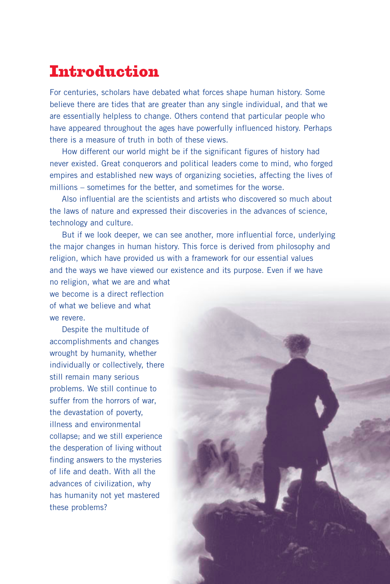# Introduction

For centuries, scholars have debated what forces shape human history. Some believe there are tides that are greater than any single individual, and that we are essentially helpless to change. Others contend that particular people who have appeared throughout the ages have powerfully influenced history. Perhaps there is a measure of truth in both of these views.

How different our world might be if the significant figures of history had never existed. Great conquerors and political leaders come to mind, who forged empires and established new ways of organizing societies, affecting the lives of millions – sometimes for the better, and sometimes for the worse.

Also influential are the scientists and artists who discovered so much about the laws of nature and expressed their discoveries in the advances of science, technology and culture.

But if we look deeper, we can see another, more influential force, underlying the major changes in human history. This force is derived from philosophy and religion, which have provided us with a framework for our essential values and the ways we have viewed our existence and its purpose. Even if we have

no religion, what we are and what we become is a direct reflection of what we believe and what we revere.

Despite the multitude of accomplishments and changes wrought by humanity, whether individually or collectively, there still remain many serious problems. We still continue to suffer from the horrors of war, the devastation of poverty, illness and environmental collapse; and we still experience the desperation of living without finding answers to the mysteries of life and death. With all the advances of civilization, why has humanity not yet mastered these problems?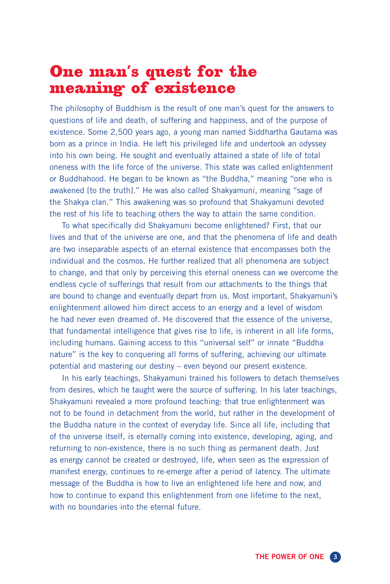### One man's quest for the meaning of existence

The philosophy of Buddhism is the result of one man's quest for the answers to questions of life and death, of suffering and happiness, and of the purpose of existence. Some 2,500 years ago, a young man named Siddhartha Gautama was born as a prince in India. He left his privileged life and undertook an odyssey into his own being. He sought and eventually attained a state of life of total oneness with the life force of the universe. This state was called enlightenment or Buddhahood. He began to be known as "the Buddha," meaning "one who is awakened [to the truth]." He was also called Shakyamuni, meaning "sage of the Shakya clan." This awakening was so profound that Shakyamuni devoted the rest of his life to teaching others the way to attain the same condition.

To what specifically did Shakyamuni become enlightened? First, that our lives and that of the universe are one, and that the phenomena of life and death are two inseparable aspects of an eternal existence that encompasses both the individual and the cosmos. He further realized that all phenomena are subject to change, and that only by perceiving this eternal oneness can we overcome the endless cycle of sufferings that result from our attachments to the things that are bound to change and eventually depart from us. Most important, Shakyamuni's enlightenment allowed him direct access to an energy and a level of wisdom he had never even dreamed of. He discovered that the essence of the universe, that fundamental intelligence that gives rise to life, is inherent in all life forms, including humans. Gaining access to this "universal self" or innate "Buddha nature" is the key to conquering all forms of suffering, achieving our ultimate potential and mastering our destiny – even beyond our present existence.

In his early teachings, Shakyamuni trained his followers to detach themselves from desires, which he taught were the source of suffering. In his later teachings, Shakyamuni revealed a more profound teaching: that true enlightenment was not to be found in detachment from the world, but rather in the development of the Buddha nature in the context of everyday life. Since all life, including that of the universe itself, is eternally coming into existence, developing, aging, and returning to non-existence, there is no such thing as permanent death. Just as energy cannot be created or destroyed, life, when seen as the expression of manifest energy, continues to re-emerge after a period of latency. The ultimate message of the Buddha is how to live an enlightened life here and now, and how to continue to expand this enlightenment from one lifetime to the next, with no boundaries into the eternal future.

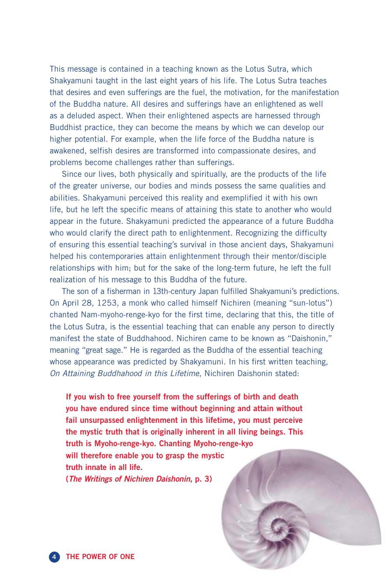This message is contained in a teaching known as the Lotus Sutra, which Shakyamuni taught in the last eight years of his life. The Lotus Sutra teaches that desires and even sufferings are the fuel, the motivation, for the manifestation of the Buddha nature. All desires and sufferings have an enlightened as well as a deluded aspect. When their enlightened aspects are harnessed through Buddhist practice, they can become the means by which we can develop our higher potential. For example, when the life force of the Buddha nature is awakened, selfish desires are transformed into compassionate desires, and problems become challenges rather than sufferings.

Since our lives, both physically and spiritually, are the products of the life of the greater universe, our bodies and minds possess the same qualities and abilities. Shakyamuni perceived this reality and exemplified it with his own life, but he left the specific means of attaining this state to another who would appear in the future. Shakyamuni predicted the appearance of a future Buddha who would clarify the direct path to enlightenment. Recognizing the difficulty of ensuring this essential teaching's survival in those ancient days, Shakyamuni helped his contemporaries attain enlightenment through their mentor/disciple relationships with him; but for the sake of the long-term future, he left the full realization of his message to this Buddha of the future.

The son of a fisherman in 13th-century Japan fulfilled Shakyamuni's predictions. On April 28, 1253, a monk who called himself Nichiren (meaning "sun-lotus") chanted Nam-myoho-renge-kyo for the first time, declaring that this, the title of the Lotus Sutra, is the essential teaching that can enable any person to directly manifest the state of Buddhahood. Nichiren came to be known as "Daishonin," meaning "great sage." He is regarded as the Buddha of the essential teaching whose appearance was predicted by Shakyamuni. In his first written teaching, On Attaining Buddhahood in this Lifetime, Nichiren Daishonin stated:

**If you wish to free yourself from the sufferings of birth and death you have endured since time without beginning and attain without fail unsurpassed enlightenment in this lifetime, you must perceive the mystic truth that is originally inherent in all living beings. This truth is Myoho-renge-kyo. Chanting Myoho-renge-kyo will therefore enable you to grasp the mystic truth innate in all life. (The Writings of Nichiren Daishonin, p. 3)**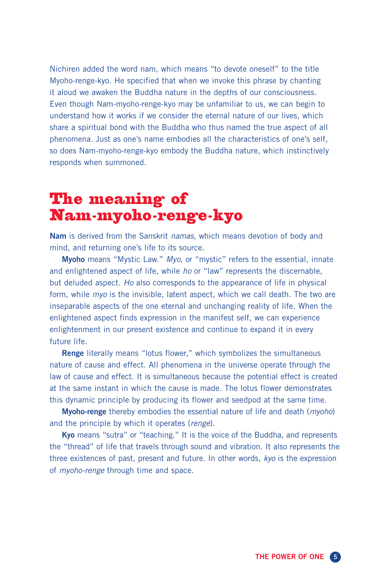Nichiren added the word nam, which means "to devote oneself" to the title Myoho-renge-kyo. He specified that when we invoke this phrase by chanting it aloud we awaken the Buddha nature in the depths of our consciousness. Even though Nam-myoho-renge-kyo may be unfamiliar to us, we can begin to understand how it works if we consider the eternal nature of our lives, which share a spiritual bond with the Buddha who thus named the true aspect of all phenomena. Just as one's name embodies all the characteristics of one's self, so does Nam-myoho-renge-kyo embody the Buddha nature, which instinctively responds when summoned.

## The meaning of Nam-myoho-renge-kyo

**Nam** is derived from the Sanskrit namas, which means devotion of body and mind, and returning one's life to its source.

**Myoho** means "Mystic Law." Myo, or "mystic" refers to the essential, innate and enlightened aspect of life, while ho or "law" represents the discernable, but deluded aspect. Ho also corresponds to the appearance of life in physical form, while *myo* is the invisible, latent aspect, which we call death. The two are inseparable aspects of the one eternal and unchanging reality of life. When the enlightened aspect finds expression in the manifest self, we can experience enlightenment in our present existence and continue to expand it in every future life.

**Renge** literally means "lotus flower," which symbolizes the simultaneous nature of cause and effect. All phenomena in the universe operate through the law of cause and effect. It is simultaneous because the potential effect is created at the same instant in which the cause is made. The lotus flower demonstrates this dynamic principle by producing its flower and seedpod at the same time.

**Myoho-renge** thereby embodies the essential nature of life and death (myoho) and the principle by which it operates (renge).

**Kyo** means "sutra" or "teaching." It is the voice of the Buddha, and represents the "thread" of life that travels through sound and vibration. It also represents the three existences of past, present and future. In other words, kyo is the expression of *myoho-renge* through time and space.

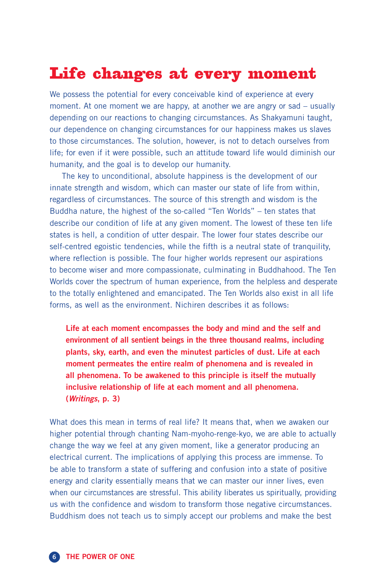# Life changes at every moment

We possess the potential for every conceivable kind of experience at every moment. At one moment we are happy, at another we are angry or sad – usually depending on our reactions to changing circumstances. As Shakyamuni taught, our dependence on changing circumstances for our happiness makes us slaves to those circumstances. The solution, however, is not to detach ourselves from life; for even if it were possible, such an attitude toward life would diminish our humanity, and the goal is to develop our humanity.

The key to unconditional, absolute happiness is the development of our innate strength and wisdom, which can master our state of life from within, regardless of circumstances. The source of this strength and wisdom is the Buddha nature, the highest of the so-called "Ten Worlds" – ten states that describe our condition of life at any given moment. The lowest of these ten life states is hell, a condition of utter despair. The lower four states describe our self-centred egoistic tendencies, while the fifth is a neutral state of tranquility, where reflection is possible. The four higher worlds represent our aspirations to become wiser and more compassionate, culminating in Buddhahood. The Ten Worlds cover the spectrum of human experience, from the helpless and desperate to the totally enlightened and emancipated. The Ten Worlds also exist in all life forms, as well as the environment. Nichiren describes it as follows:

**Life at each moment encompasses the body and mind and the self and environment of all sentient beings in the three thousand realms, including plants, sky, earth, and even the minutest particles of dust. Life at each moment permeates the entire realm of phenomena and is revealed in all phenomena. To be awakened to this principle is itself the mutually inclusive relationship of life at each moment and all phenomena. (Writings, p. 3)**

What does this mean in terms of real life? It means that, when we awaken our higher potential through chanting Nam-myoho-renge-kyo, we are able to actually change the way we feel at any given moment, like a generator producing an electrical current. The implications of applying this process are immense. To be able to transform a state of suffering and confusion into a state of positive energy and clarity essentially means that we can master our inner lives, even when our circumstances are stressful. This ability liberates us spiritually, providing us with the confidence and wisdom to transform those negative circumstances. Buddhism does not teach us to simply accept our problems and make the best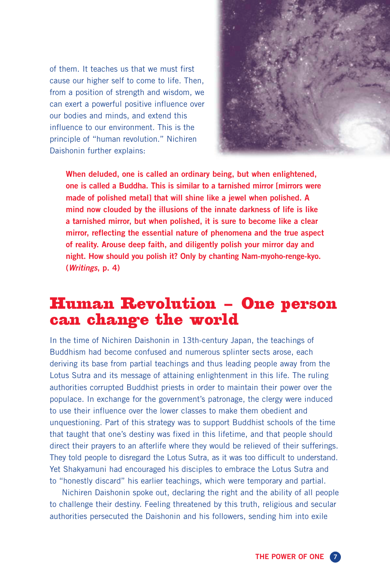of them. It teaches us that we must first cause our higher self to come to life. Then, from a position of strength and wisdom, we can exert a powerful positive influence over our bodies and minds, and extend this influence to our environment. This is the principle of "human revolution." Nichiren Daishonin further explains:



**When deluded, one is called an ordinary being, but when enlightened, one is called a Buddha. This is similar to a tarnished mirror [mirrors were made of polished metal] that will shine like a jewel when polished. A mind now clouded by the illusions of the innate darkness of life is like a tarnished mirror, but when polished, it is sure to become like a clear mirror, reflecting the essential nature of phenomena and the true aspect of reality. Arouse deep faith, and diligently polish your mirror day and night. How should you polish it? Only by chanting Nam-myoho-renge-kyo. (Writings, p. 4)**

#### Human Revolution – One person can change the world

In the time of Nichiren Daishonin in 13th-century Japan, the teachings of Buddhism had become confused and numerous splinter sects arose, each deriving its base from partial teachings and thus leading people away from the Lotus Sutra and its message of attaining enlightenment in this life. The ruling authorities corrupted Buddhist priests in order to maintain their power over the populace. In exchange for the government's patronage, the clergy were induced to use their influence over the lower classes to make them obedient and unquestioning. Part of this strategy was to support Buddhist schools of the time that taught that one's destiny was fixed in this lifetime, and that people should direct their prayers to an afterlife where they would be relieved of their sufferings. They told people to disregard the Lotus Sutra, as it was too difficult to understand. Yet Shakyamuni had encouraged his disciples to embrace the Lotus Sutra and to "honestly discard" his earlier teachings, which were temporary and partial.

Nichiren Daishonin spoke out, declaring the right and the ability of all people to challenge their destiny. Feeling threatened by this truth, religious and secular authorities persecuted the Daishonin and his followers, sending him into exile

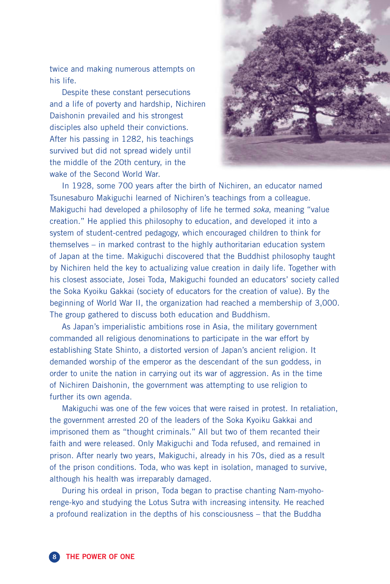twice and making numerous attempts on his life.

Despite these constant persecutions and a life of poverty and hardship, Nichiren Daishonin prevailed and his strongest disciples also upheld their convictions. After his passing in 1282, his teachings survived but did not spread widely until the middle of the 20th century, in the wake of the Second World War.



In 1928, some 700 years after the birth of Nichiren, an educator named Tsunesaburo Makiguchi learned of Nichiren's teachings from a colleague. Makiguchi had developed a philosophy of life he termed soka, meaning "value creation." He applied this philosophy to education, and developed it into a system of student-centred pedagogy, which encouraged children to think for themselves – in marked contrast to the highly authoritarian education system of Japan at the time. Makiguchi discovered that the Buddhist philosophy taught by Nichiren held the key to actualizing value creation in daily life. Together with his closest associate, Josei Toda, Makiguchi founded an educators' society called the Soka Kyoiku Gakkai (society of educators for the creation of value). By the beginning of World War II, the organization had reached a membership of 3,000. The group gathered to discuss both education and Buddhism.

As Japan's imperialistic ambitions rose in Asia, the military government commanded all religious denominations to participate in the war effort by establishing State Shinto, a distorted version of Japan's ancient religion. It demanded worship of the emperor as the descendant of the sun goddess, in order to unite the nation in carrying out its war of aggression. As in the time of Nichiren Daishonin, the government was attempting to use religion to further its own agenda.

Makiguchi was one of the few voices that were raised in protest. In retaliation, the government arrested 20 of the leaders of the Soka Kyoiku Gakkai and imprisoned them as "thought criminals." All but two of them recanted their faith and were released. Only Makiguchi and Toda refused, and remained in prison. After nearly two years, Makiguchi, already in his 70s, died as a result of the prison conditions. Toda, who was kept in isolation, managed to survive, although his health was irreparably damaged.

During his ordeal in prison, Toda began to practise chanting Nam-myohorenge-kyo and studying the Lotus Sutra with increasing intensity. He reached a profound realization in the depths of his consciousness – that the Buddha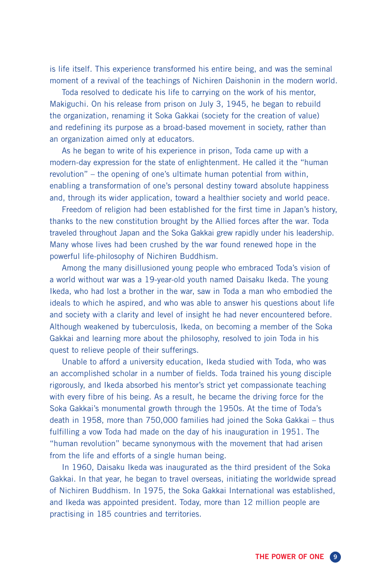is life itself. This experience transformed his entire being, and was the seminal moment of a revival of the teachings of Nichiren Daishonin in the modern world.

Toda resolved to dedicate his life to carrying on the work of his mentor, Makiguchi. On his release from prison on July 3, 1945, he began to rebuild the organization, renaming it Soka Gakkai (society for the creation of value) and redefining its purpose as a broad-based movement in society, rather than an organization aimed only at educators.

As he began to write of his experience in prison, Toda came up with a modern-day expression for the state of enlightenment. He called it the "human revolution" – the opening of one's ultimate human potential from within, enabling a transformation of one's personal destiny toward absolute happiness and, through its wider application, toward a healthier society and world peace.

Freedom of religion had been established for the first time in Japan's history, thanks to the new constitution brought by the Allied forces after the war. Toda traveled throughout Japan and the Soka Gakkai grew rapidly under his leadership. Many whose lives had been crushed by the war found renewed hope in the powerful life-philosophy of Nichiren Buddhism.

Among the many disillusioned young people who embraced Toda's vision of a world without war was a 19-year-old youth named Daisaku Ikeda. The young Ikeda, who had lost a brother in the war, saw in Toda a man who embodied the ideals to which he aspired, and who was able to answer his questions about life and society with a clarity and level of insight he had never encountered before. Although weakened by tuberculosis, Ikeda, on becoming a member of the Soka Gakkai and learning more about the philosophy, resolved to join Toda in his quest to relieve people of their sufferings.

Unable to afford a university education, Ikeda studied with Toda, who was an accomplished scholar in a number of fields. Toda trained his young disciple rigorously, and Ikeda absorbed his mentor's strict yet compassionate teaching with every fibre of his being. As a result, he became the driving force for the Soka Gakkai's monumental growth through the 1950s. At the time of Toda's death in 1958, more than 750,000 families had joined the Soka Gakkai – thus fulfilling a vow Toda had made on the day of his inauguration in 1951. The "human revolution" became synonymous with the movement that had arisen from the life and efforts of a single human being.

In 1960, Daisaku Ikeda was inaugurated as the third president of the Soka Gakkai. In that year, he began to travel overseas, initiating the worldwide spread of Nichiren Buddhism. In 1975, the Soka Gakkai International was established, and Ikeda was appointed president. Today, more than 12 million people are practising in 185 countries and territories.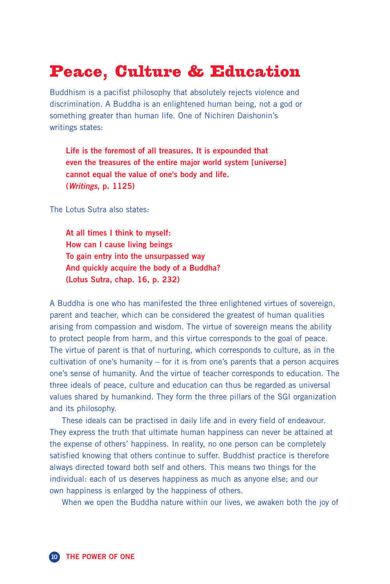# Peace, Culture & Education

Buddhism is a pacifist philosophy that absolutely rejects violence and discrimination. A Buddha is an enlightened human being, not a god or something greater than human life. One of Nichiren Daishonin's writings states:

**Life is the foremost of all treasures. It is expounded that even the treasures of the entire major world system [universe] cannot equal the value of one's body and life. (Writings, p. 1125)**

The Lotus Sutra also states:

**At all times I think to myself: How can I cause living beings To gain entry into the unsurpassed way And quickly acquire the body of a Buddha? (Lotus Sutra, chap. 16, p. 232)**

A Buddha is one who has manifested the three enlightened virtues of sovereign, parent and teacher, which can be considered the greatest of human qualities arising from compassion and wisdom. The virtue of sovereign means the ability to protect people from harm, and this virtue corresponds to the goal of peace. The virtue of parent is that of nurturing, which corresponds to culture, as in the cultivation of one's humanity – for it is from one's parents that a person acquires one's sense of humanity. And the virtue of teacher corresponds to education. The three ideals of peace, culture and education can thus be regarded as universal values shared by humankind. They form the three pillars of the SGI organization and its philosophy.

These ideals can be practised in daily life and in every field of endeavour. They express the truth that ultimate human happiness can never be attained at the expense of others' happiness. In reality, no one person can be completely satisfied knowing that others continue to suffer. Buddhist practice is therefore always directed toward both self and others. This means two things for the individual: each of us deserves happiness as much as anyone else; and our own happiness is enlarged by the happiness of others.

When we open the Buddha nature within our lives, we awaken both the joy of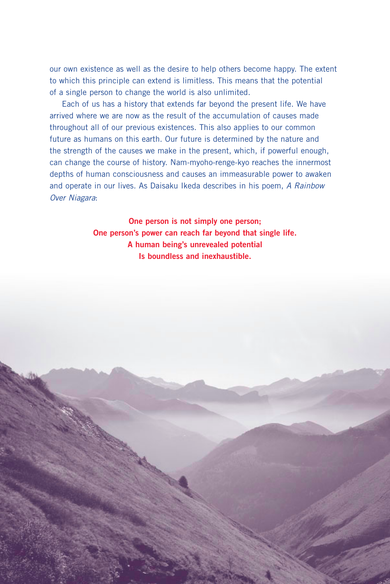our own existence as well as the desire to help others become happy. The extent to which this principle can extend is limitless. This means that the potential of a single person to change the world is also unlimited.

Each of us has a history that extends far beyond the present life. We have arrived where we are now as the result of the accumulation of causes made throughout all of our previous existences. This also applies to our common future as humans on this earth. Our future is determined by the nature and the strength of the causes we make in the present, which, if powerful enough, can change the course of history. Nam-myoho-renge-kyo reaches the innermost depths of human consciousness and causes an immeasurable power to awaken and operate in our lives. As Daisaku Ikeda describes in his poem, A Rainbow Over Niagara:

> **One person is not simply one person; One person's power can reach far beyond that single life. A human being's unrevealed potential Is boundless and inexhaustible.**